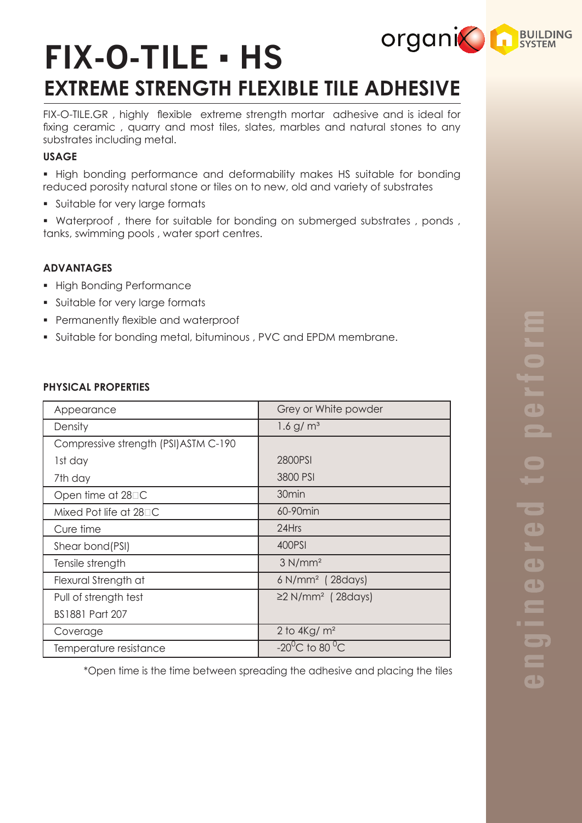# **organic LA BUILDING FIX-O-TILE ▪ HS EXTREME STRENGTH FLEXIBLE TILE ADHESIVE**

FIX-O-TILE.GR , highly flexible extreme strength mortar adhesive and is ideal for fixing ceramic , quarry and most tiles, slates, marbles and natural stones to any substrates including metal.

# **USAGE**

§ High bonding performance and deformability makes HS suitable for bonding reduced porosity natural stone or tiles on to new, old and variety of substrates

§ Suitable for very large formats

• Waterproof, there for suitable for bonding on submerged substrates, ponds, tanks, swimming pools , water sport centres.

# **ADVANTAGES**

- § High Bonding Performance
- § Suitable for very large formats
- § Permanently flexible and waterproof
- § Suitable for bonding metal, bituminous , PVC and EPDM membrane.

## **PHYSICAL PROPERTIES**

|                                       | Grey or White powder                 |
|---------------------------------------|--------------------------------------|
| Appearance                            |                                      |
| Density                               | $1.6$ g/m <sup>3</sup>               |
| Compressive strength (PSI) ASTM C-190 |                                      |
| 1st day                               | 2800PSI                              |
| 7th day                               | 3800 PSI                             |
| Open time at 28 <sup>D</sup> C        | 30 <sub>min</sub>                    |
| Mixed Pot life at $28\square C$       | 60-90min                             |
| Cure time                             | 24Hrs                                |
| Shear bond(PSI)                       | 400PSI                               |
| Tensile strength                      | 3 N/mm <sup>2</sup>                  |
| Flexural Strength at                  | $6$ N/mm <sup>2</sup> (28days)       |
| Pull of strength test                 | $\geq$ 2 N/mm <sup>2</sup> (28 days) |
| <b>BS1881 Part 207</b>                |                                      |
| Coverage                              | 2 to $4\text{Kg/m}^2$                |
| Temperature resistance                | $-20^{\circ}$ C to 80 $^{\circ}$ C   |

\*Open time is the time between spreading the adhesive and placing the tiles